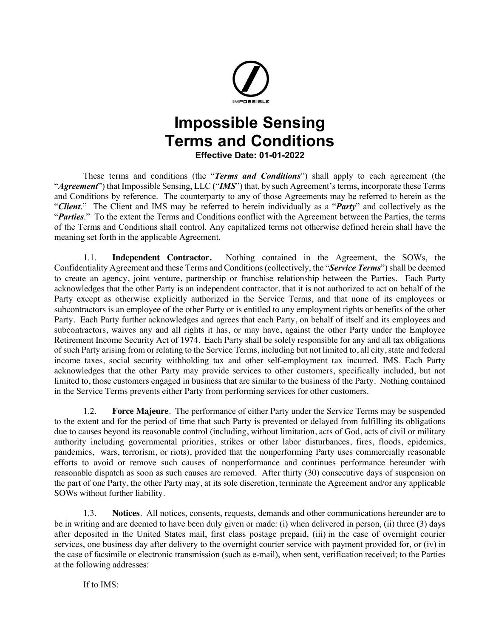

## **Impossible Sensing Terms and Conditions Effective Date: 01-01-2022**

These terms and conditions (the "*Terms and Conditions*") shall apply to each agreement (the "*Agreement*") that Impossible Sensing, LLC ("IMS") that, by such Agreement's terms, incorporate these Terms and Conditions by reference. The counterparty to any of those Agreements may be referred to herein as the "*Client*." The Client and IMS may be referred to herein individually as a "*Party*" and collectively as the "*Parties*." To the extent the Terms and Conditions conflict with the Agreement between the Parties, the terms of the Terms and Conditions shall control. Any capitalized terms not otherwise defined herein shall have the meaning set forth in the applicable Agreement.

1.1. **Independent Contractor.** Nothing contained in the Agreement, the SOWs, the Confidentiality Agreement and these Terms and Conditions (collectively, the "*Service Terms*") shall be deemed to create an agency, joint venture, partnership or franchise relationship between the Parties. Each Party acknowledges that the other Party is an independent contractor, that it is not authorized to act on behalf of the Party except as otherwise explicitly authorized in the Service Terms, and that none of its employees or subcontractors is an employee of the other Party or is entitled to any employment rights or benefits of the other Party. Each Party further acknowledges and agrees that each Party, on behalf of itself and its employees and subcontractors, waives any and all rights it has, or may have, against the other Party under the Employee Retirement Income Security Act of 1974. Each Party shall be solely responsible for any and all tax obligations of such Party arising from or relating to the Service Terms, including but not limited to, all city, state and federal income taxes, social security withholding tax and other self-employment tax incurred. IMS. Each Party acknowledges that the other Party may provide services to other customers, specifically included, but not limited to, those customers engaged in business that are similar to the business of the Party. Nothing contained in the Service Terms prevents either Party from performing services for other customers.

1.2. **Force Majeure**. The performance of either Party under the Service Terms may be suspended to the extent and for the period of time that such Party is prevented or delayed from fulfilling its obligations due to causes beyond its reasonable control (including, without limitation, acts of God, acts of civil or military authority including governmental priorities, strikes or other labor disturbances, fires, floods, epidemics, pandemics, wars, terrorism, or riots), provided that the nonperforming Party uses commercially reasonable efforts to avoid or remove such causes of nonperformance and continues performance hereunder with reasonable dispatch as soon as such causes are removed. After thirty (30) consecutive days of suspension on the part of one Party, the other Party may, at its sole discretion, terminate the Agreement and/or any applicable SOWs without further liability.

1.3. **Notices**. All notices, consents, requests, demands and other communications hereunder are to be in writing and are deemed to have been duly given or made: (i) when delivered in person, (ii) three (3) days after deposited in the United States mail, first class postage prepaid, (iii) in the case of overnight courier services, one business day after delivery to the overnight courier service with payment provided for, or (iv) in the case of facsimile or electronic transmission (such as e-mail), when sent, verification received; to the Parties at the following addresses:

If to IMS: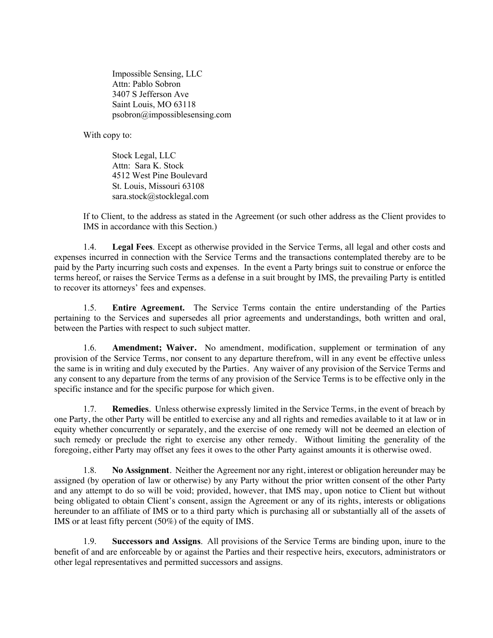Impossible Sensing, LLC Attn: Pablo Sobron 3407 S Jefferson Ave Saint Louis, MO 63118 psobron@impossiblesensing.com

With copy to:

Stock Legal, LLC Attn: Sara K. Stock 4512 West Pine Boulevard St. Louis, Missouri 63108 sara.stock@stocklegal.com

If to Client, to the address as stated in the Agreement (or such other address as the Client provides to IMS in accordance with this Section.)

1.4. **Legal Fees**. Except as otherwise provided in the Service Terms, all legal and other costs and expenses incurred in connection with the Service Terms and the transactions contemplated thereby are to be paid by the Party incurring such costs and expenses. In the event a Party brings suit to construe or enforce the terms hereof, or raises the Service Terms as a defense in a suit brought by IMS, the prevailing Party is entitled to recover its attorneys' fees and expenses.

1.5. **Entire Agreement.** The Service Terms contain the entire understanding of the Parties pertaining to the Services and supersedes all prior agreements and understandings, both written and oral, between the Parties with respect to such subject matter.

1.6. **Amendment; Waiver.** No amendment, modification, supplement or termination of any provision of the Service Terms, nor consent to any departure therefrom, will in any event be effective unless the same is in writing and duly executed by the Parties. Any waiver of any provision of the Service Terms and any consent to any departure from the terms of any provision of the Service Terms is to be effective only in the specific instance and for the specific purpose for which given.

1.7. **Remedies**. Unless otherwise expressly limited in the Service Terms, in the event of breach by one Party, the other Party will be entitled to exercise any and all rights and remedies available to it at law or in equity whether concurrently or separately, and the exercise of one remedy will not be deemed an election of such remedy or preclude the right to exercise any other remedy. Without limiting the generality of the foregoing, either Party may offset any fees it owes to the other Party against amounts it is otherwise owed.

1.8. **No Assignment**. Neither the Agreement nor any right, interest or obligation hereunder may be assigned (by operation of law or otherwise) by any Party without the prior written consent of the other Party and any attempt to do so will be void; provided, however, that IMS may, upon notice to Client but without being obligated to obtain Client's consent, assign the Agreement or any of its rights, interests or obligations hereunder to an affiliate of IMS or to a third party which is purchasing all or substantially all of the assets of IMS or at least fifty percent (50%) of the equity of IMS.

1.9. **Successors and Assigns**. All provisions of the Service Terms are binding upon, inure to the benefit of and are enforceable by or against the Parties and their respective heirs, executors, administrators or other legal representatives and permitted successors and assigns.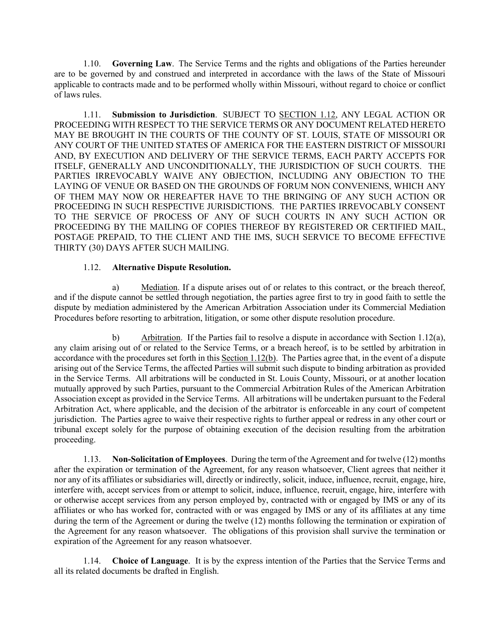1.10. **Governing Law**. The Service Terms and the rights and obligations of the Parties hereunder are to be governed by and construed and interpreted in accordance with the laws of the State of Missouri applicable to contracts made and to be performed wholly within Missouri, without regard to choice or conflict of laws rules.

1.11. **Submission to Jurisdiction**. SUBJECT TO SECTION 1.12, ANY LEGAL ACTION OR PROCEEDING WITH RESPECT TO THE SERVICE TERMS OR ANY DOCUMENT RELATED HERETO MAY BE BROUGHT IN THE COURTS OF THE COUNTY OF ST. LOUIS, STATE OF MISSOURI OR ANY COURT OF THE UNITED STATES OF AMERICA FOR THE EASTERN DISTRICT OF MISSOURI AND, BY EXECUTION AND DELIVERY OF THE SERVICE TERMS, EACH PARTY ACCEPTS FOR ITSELF, GENERALLY AND UNCONDITIONALLY, THE JURISDICTION OF SUCH COURTS. THE PARTIES IRREVOCABLY WAIVE ANY OBJECTION, INCLUDING ANY OBJECTION TO THE LAYING OF VENUE OR BASED ON THE GROUNDS OF FORUM NON CONVENIENS, WHICH ANY OF THEM MAY NOW OR HEREAFTER HAVE TO THE BRINGING OF ANY SUCH ACTION OR PROCEEDING IN SUCH RESPECTIVE JURISDICTIONS. THE PARTIES IRREVOCABLY CONSENT TO THE SERVICE OF PROCESS OF ANY OF SUCH COURTS IN ANY SUCH ACTION OR PROCEEDING BY THE MAILING OF COPIES THEREOF BY REGISTERED OR CERTIFIED MAIL, POSTAGE PREPAID, TO THE CLIENT AND THE IMS, SUCH SERVICE TO BECOME EFFECTIVE THIRTY (30) DAYS AFTER SUCH MAILING.

## 1.12. **Alternative Dispute Resolution.**

a) Mediation. If a dispute arises out of or relates to this contract, or the breach thereof, and if the dispute cannot be settled through negotiation, the parties agree first to try in good faith to settle the dispute by mediation administered by the American Arbitration Association under its Commercial Mediation Procedures before resorting to arbitration, litigation, or some other dispute resolution procedure.

b) Arbitration. If the Parties fail to resolve a dispute in accordance with Section 1.12(a), any claim arising out of or related to the Service Terms, or a breach hereof, is to be settled by arbitration in accordance with the procedures set forth in this Section 1.12(b). The Parties agree that, in the event of a dispute arising out of the Service Terms, the affected Parties will submit such dispute to binding arbitration as provided in the Service Terms. All arbitrations will be conducted in St. Louis County, Missouri, or at another location mutually approved by such Parties, pursuant to the Commercial Arbitration Rules of the American Arbitration Association except as provided in the Service Terms. All arbitrations will be undertaken pursuant to the Federal Arbitration Act, where applicable, and the decision of the arbitrator is enforceable in any court of competent jurisdiction. The Parties agree to waive their respective rights to further appeal or redress in any other court or tribunal except solely for the purpose of obtaining execution of the decision resulting from the arbitration proceeding.

1.13. **Non-Solicitation of Employees**. During the term of the Agreement and for twelve (12) months after the expiration or termination of the Agreement, for any reason whatsoever, Client agrees that neither it nor any of its affiliates or subsidiaries will, directly or indirectly, solicit, induce, influence, recruit, engage, hire, interfere with, accept services from or attempt to solicit, induce, influence, recruit, engage, hire, interfere with or otherwise accept services from any person employed by, contracted with or engaged by IMS or any of its affiliates or who has worked for, contracted with or was engaged by IMS or any of its affiliates at any time during the term of the Agreement or during the twelve (12) months following the termination or expiration of the Agreement for any reason whatsoever. The obligations of this provision shall survive the termination or expiration of the Agreement for any reason whatsoever.

1.14. **Choice of Language**. It is by the express intention of the Parties that the Service Terms and all its related documents be drafted in English.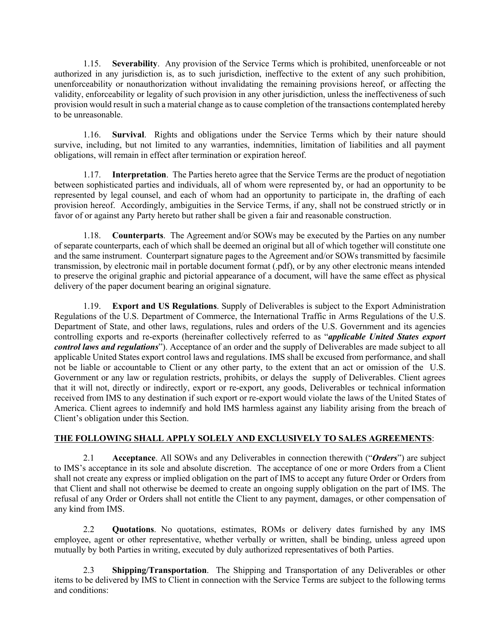1.15. **Severability**. Any provision of the Service Terms which is prohibited, unenforceable or not authorized in any jurisdiction is, as to such jurisdiction, ineffective to the extent of any such prohibition, unenforceability or nonauthorization without invalidating the remaining provisions hereof, or affecting the validity, enforceability or legality of such provision in any other jurisdiction, unless the ineffectiveness of such provision would result in such a material change as to cause completion of the transactions contemplated hereby to be unreasonable.

1.16. **Survival**. Rights and obligations under the Service Terms which by their nature should survive, including, but not limited to any warranties, indemnities, limitation of liabilities and all payment obligations, will remain in effect after termination or expiration hereof.

1.17. **Interpretation**. The Parties hereto agree that the Service Terms are the product of negotiation between sophisticated parties and individuals, all of whom were represented by, or had an opportunity to be represented by legal counsel, and each of whom had an opportunity to participate in, the drafting of each provision hereof. Accordingly, ambiguities in the Service Terms, if any, shall not be construed strictly or in favor of or against any Party hereto but rather shall be given a fair and reasonable construction.

1.18. **Counterparts**. The Agreement and/or SOWs may be executed by the Parties on any number of separate counterparts, each of which shall be deemed an original but all of which together will constitute one and the same instrument. Counterpart signature pages to the Agreement and/or SOWs transmitted by facsimile transmission, by electronic mail in portable document format (.pdf), or by any other electronic means intended to preserve the original graphic and pictorial appearance of a document, will have the same effect as physical delivery of the paper document bearing an original signature.

1.19. **Export and US Regulations**. Supply of Deliverables is subject to the Export Administration Regulations of the U.S. Department of Commerce, the International Traffic in Arms Regulations of the U.S. Department of State, and other laws, regulations, rules and orders of the U.S. Government and its agencies controlling exports and re-exports (hereinafter collectively referred to as "*applicable United States export control laws and regulations*"). Acceptance of an order and the supply of Deliverables are made subject to all applicable United States export control laws and regulations. IMS shall be excused from performance, and shall not be liable or accountable to Client or any other party, to the extent that an act or omission of the U.S. Government or any law or regulation restricts, prohibits, or delays the supply of Deliverables. Client agrees that it will not, directly or indirectly, export or re-export, any goods, Deliverables or technical information received from IMS to any destination if such export or re-export would violate the laws of the United States of America. Client agrees to indemnify and hold IMS harmless against any liability arising from the breach of Client's obligation under this Section.

## **THE FOLLOWING SHALL APPLY SOLELY AND EXCLUSIVELY TO SALES AGREEMENTS**:

2.1 **Acceptance**. All SOWs and any Deliverables in connection therewith ("*Orders*") are subject to IMS's acceptance in its sole and absolute discretion. The acceptance of one or more Orders from a Client shall not create any express or implied obligation on the part of IMS to accept any future Order or Orders from that Client and shall not otherwise be deemed to create an ongoing supply obligation on the part of IMS. The refusal of any Order or Orders shall not entitle the Client to any payment, damages, or other compensation of any kind from IMS.

2.2 **Quotations**. No quotations, estimates, ROMs or delivery dates furnished by any IMS employee, agent or other representative, whether verbally or written, shall be binding, unless agreed upon mutually by both Parties in writing, executed by duly authorized representatives of both Parties.

2.3 **Shipping/Transportation**. The Shipping and Transportation of any Deliverables or other items to be delivered by IMS to Client in connection with the Service Terms are subject to the following terms and conditions: